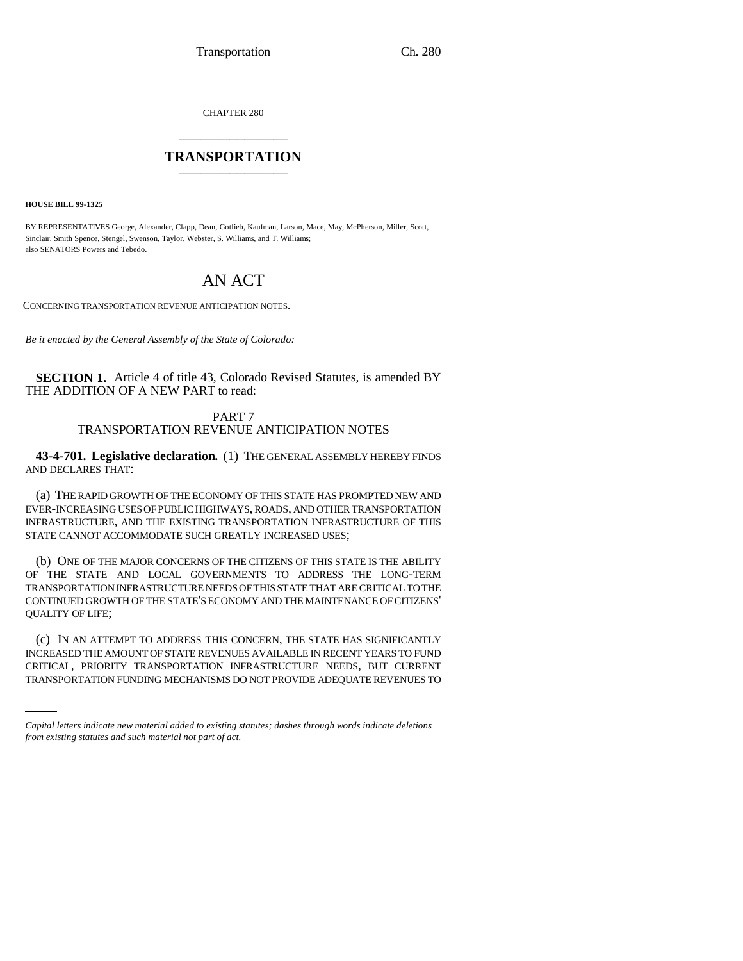CHAPTER 280 \_\_\_\_\_\_\_\_\_\_\_\_\_\_\_

# **TRANSPORTATION** \_\_\_\_\_\_\_\_\_\_\_\_\_\_\_

**HOUSE BILL 99-1325** 

BY REPRESENTATIVES George, Alexander, Clapp, Dean, Gotlieb, Kaufman, Larson, Mace, May, McPherson, Miller, Scott, Sinclair, Smith Spence, Stengel, Swenson, Taylor, Webster, S. Williams, and T. Williams; also SENATORS Powers and Tebedo.

# AN ACT

CONCERNING TRANSPORTATION REVENUE ANTICIPATION NOTES.

*Be it enacted by the General Assembly of the State of Colorado:*

**SECTION 1.** Article 4 of title 43, Colorado Revised Statutes, is amended BY THE ADDITION OF A NEW PART to read:

> PART 7 TRANSPORTATION REVENUE ANTICIPATION NOTES

**43-4-701. Legislative declaration.** (1) THE GENERAL ASSEMBLY HEREBY FINDS AND DECLARES THAT:

(a) THE RAPID GROWTH OF THE ECONOMY OF THIS STATE HAS PROMPTED NEW AND EVER-INCREASING USES OF PUBLIC HIGHWAYS, ROADS, AND OTHER TRANSPORTATION INFRASTRUCTURE, AND THE EXISTING TRANSPORTATION INFRASTRUCTURE OF THIS STATE CANNOT ACCOMMODATE SUCH GREATLY INCREASED USES;

(b) ONE OF THE MAJOR CONCERNS OF THE CITIZENS OF THIS STATE IS THE ABILITY OF THE STATE AND LOCAL GOVERNMENTS TO ADDRESS THE LONG-TERM TRANSPORTATION INFRASTRUCTURE NEEDS OF THIS STATE THAT ARE CRITICAL TO THE CONTINUED GROWTH OF THE STATE'S ECONOMY AND THE MAINTENANCE OF CITIZENS' QUALITY OF LIFE;

INCREASED THE AMOUNT OF STATE REVENUES AVAILABLE IN RECENT YEARS TO FUND (c) IN AN ATTEMPT TO ADDRESS THIS CONCERN, THE STATE HAS SIGNIFICANTLY CRITICAL, PRIORITY TRANSPORTATION INFRASTRUCTURE NEEDS, BUT CURRENT TRANSPORTATION FUNDING MECHANISMS DO NOT PROVIDE ADEQUATE REVENUES TO

*Capital letters indicate new material added to existing statutes; dashes through words indicate deletions from existing statutes and such material not part of act.*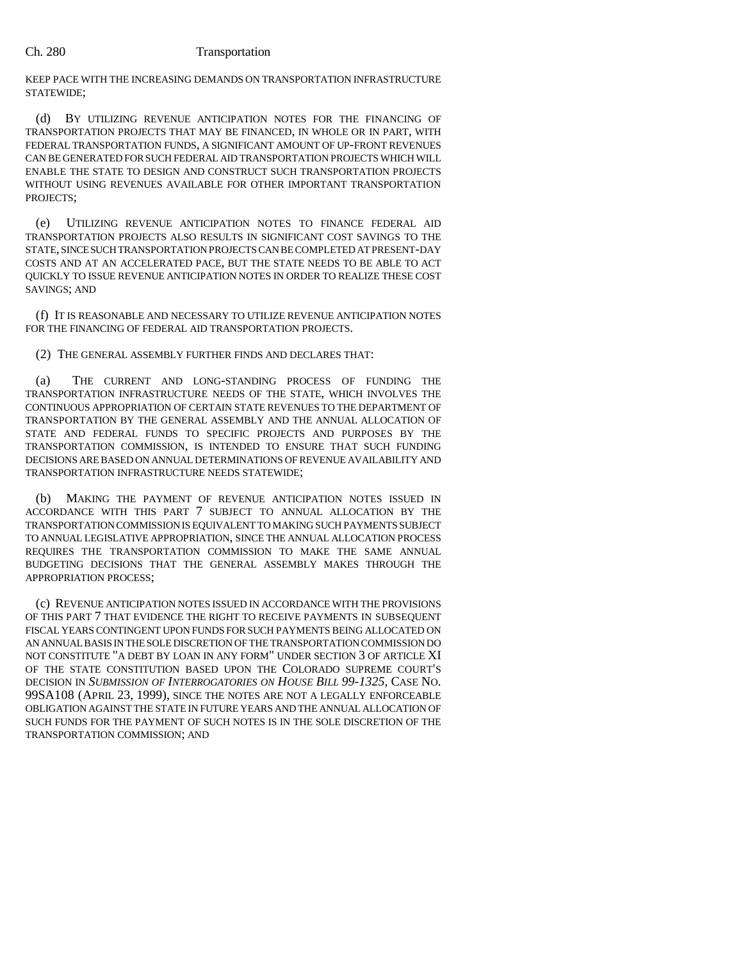KEEP PACE WITH THE INCREASING DEMANDS ON TRANSPORTATION INFRASTRUCTURE STATEWIDE;

(d) BY UTILIZING REVENUE ANTICIPATION NOTES FOR THE FINANCING OF TRANSPORTATION PROJECTS THAT MAY BE FINANCED, IN WHOLE OR IN PART, WITH FEDERAL TRANSPORTATION FUNDS, A SIGNIFICANT AMOUNT OF UP-FRONT REVENUES CAN BE GENERATED FOR SUCH FEDERAL AID TRANSPORTATION PROJECTS WHICH WILL ENABLE THE STATE TO DESIGN AND CONSTRUCT SUCH TRANSPORTATION PROJECTS WITHOUT USING REVENUES AVAILABLE FOR OTHER IMPORTANT TRANSPORTATION PROJECTS;

(e) UTILIZING REVENUE ANTICIPATION NOTES TO FINANCE FEDERAL AID TRANSPORTATION PROJECTS ALSO RESULTS IN SIGNIFICANT COST SAVINGS TO THE STATE, SINCE SUCH TRANSPORTATION PROJECTS CAN BE COMPLETED AT PRESENT-DAY COSTS AND AT AN ACCELERATED PACE, BUT THE STATE NEEDS TO BE ABLE TO ACT QUICKLY TO ISSUE REVENUE ANTICIPATION NOTES IN ORDER TO REALIZE THESE COST SAVINGS; AND

(f) IT IS REASONABLE AND NECESSARY TO UTILIZE REVENUE ANTICIPATION NOTES FOR THE FINANCING OF FEDERAL AID TRANSPORTATION PROJECTS.

### (2) THE GENERAL ASSEMBLY FURTHER FINDS AND DECLARES THAT:

(a) THE CURRENT AND LONG-STANDING PROCESS OF FUNDING THE TRANSPORTATION INFRASTRUCTURE NEEDS OF THE STATE, WHICH INVOLVES THE CONTINUOUS APPROPRIATION OF CERTAIN STATE REVENUES TO THE DEPARTMENT OF TRANSPORTATION BY THE GENERAL ASSEMBLY AND THE ANNUAL ALLOCATION OF STATE AND FEDERAL FUNDS TO SPECIFIC PROJECTS AND PURPOSES BY THE TRANSPORTATION COMMISSION, IS INTENDED TO ENSURE THAT SUCH FUNDING DECISIONS ARE BASED ON ANNUAL DETERMINATIONS OF REVENUE AVAILABILITY AND TRANSPORTATION INFRASTRUCTURE NEEDS STATEWIDE;

(b) MAKING THE PAYMENT OF REVENUE ANTICIPATION NOTES ISSUED IN ACCORDANCE WITH THIS PART 7 SUBJECT TO ANNUAL ALLOCATION BY THE TRANSPORTATION COMMISSION IS EQUIVALENT TO MAKING SUCH PAYMENTS SUBJECT TO ANNUAL LEGISLATIVE APPROPRIATION, SINCE THE ANNUAL ALLOCATION PROCESS REQUIRES THE TRANSPORTATION COMMISSION TO MAKE THE SAME ANNUAL BUDGETING DECISIONS THAT THE GENERAL ASSEMBLY MAKES THROUGH THE APPROPRIATION PROCESS;

(c) REVENUE ANTICIPATION NOTES ISSUED IN ACCORDANCE WITH THE PROVISIONS OF THIS PART 7 THAT EVIDENCE THE RIGHT TO RECEIVE PAYMENTS IN SUBSEQUENT FISCAL YEARS CONTINGENT UPON FUNDS FOR SUCH PAYMENTS BEING ALLOCATED ON AN ANNUAL BASIS IN THE SOLE DISCRETION OF THE TRANSPORTATION COMMISSION DO NOT CONSTITUTE "A DEBT BY LOAN IN ANY FORM" UNDER SECTION 3 OF ARTICLE XI OF THE STATE CONSTITUTION BASED UPON THE COLORADO SUPREME COURT'S DECISION IN *SUBMISSION OF INTERROGATORIES ON HOUSE BILL 99-1325*, CASE NO. 99SA108 (APRIL 23, 1999), SINCE THE NOTES ARE NOT A LEGALLY ENFORCEABLE OBLIGATION AGAINST THE STATE IN FUTURE YEARS AND THE ANNUAL ALLOCATION OF SUCH FUNDS FOR THE PAYMENT OF SUCH NOTES IS IN THE SOLE DISCRETION OF THE TRANSPORTATION COMMISSION; AND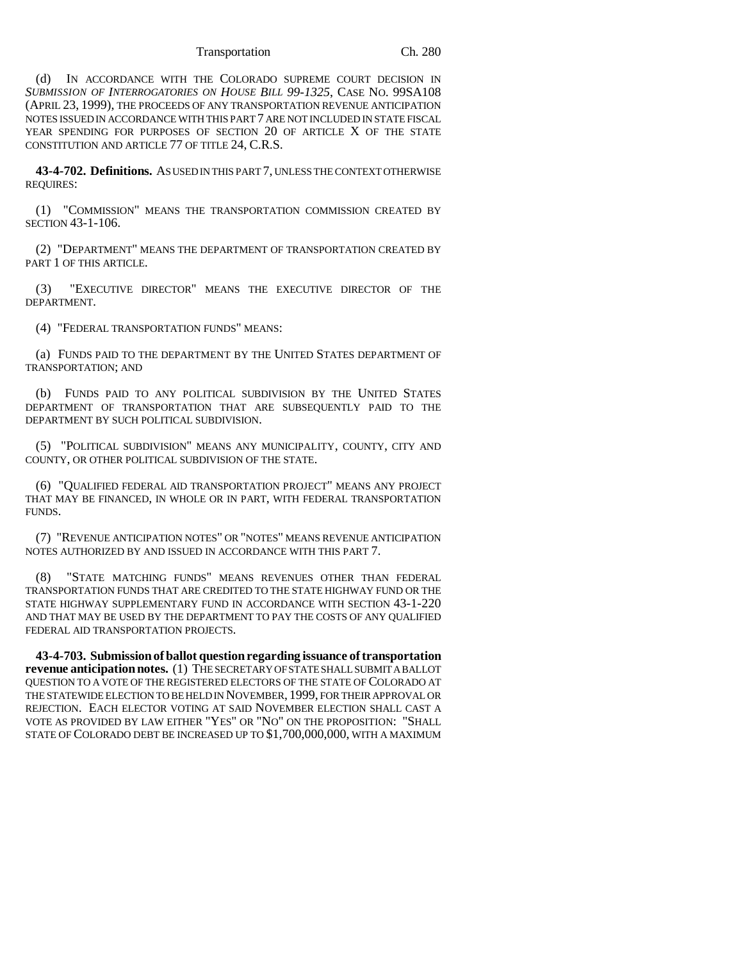### Transportation Ch. 280

(d) IN ACCORDANCE WITH THE COLORADO SUPREME COURT DECISION IN *SUBMISSION OF INTERROGATORIES ON HOUSE BILL 99-1325*, CASE NO. 99SA108 (APRIL 23, 1999), THE PROCEEDS OF ANY TRANSPORTATION REVENUE ANTICIPATION NOTES ISSUED IN ACCORDANCE WITH THIS PART 7 ARE NOT INCLUDED IN STATE FISCAL YEAR SPENDING FOR PURPOSES OF SECTION 20 OF ARTICLE X OF THE STATE CONSTITUTION AND ARTICLE 77 OF TITLE 24, C.R.S.

**43-4-702. Definitions.** AS USED IN THIS PART 7, UNLESS THE CONTEXT OTHERWISE REQUIRES:

(1) "COMMISSION" MEANS THE TRANSPORTATION COMMISSION CREATED BY SECTION 43-1-106.

(2) "DEPARTMENT" MEANS THE DEPARTMENT OF TRANSPORTATION CREATED BY PART 1 OF THIS ARTICLE.

(3) "EXECUTIVE DIRECTOR" MEANS THE EXECUTIVE DIRECTOR OF THE DEPARTMENT.

(4) "FEDERAL TRANSPORTATION FUNDS" MEANS:

(a) FUNDS PAID TO THE DEPARTMENT BY THE UNITED STATES DEPARTMENT OF TRANSPORTATION; AND

(b) FUNDS PAID TO ANY POLITICAL SUBDIVISION BY THE UNITED STATES DEPARTMENT OF TRANSPORTATION THAT ARE SUBSEQUENTLY PAID TO THE DEPARTMENT BY SUCH POLITICAL SUBDIVISION.

(5) "POLITICAL SUBDIVISION" MEANS ANY MUNICIPALITY, COUNTY, CITY AND COUNTY, OR OTHER POLITICAL SUBDIVISION OF THE STATE.

(6) "QUALIFIED FEDERAL AID TRANSPORTATION PROJECT" MEANS ANY PROJECT THAT MAY BE FINANCED, IN WHOLE OR IN PART, WITH FEDERAL TRANSPORTATION FUNDS.

(7) "REVENUE ANTICIPATION NOTES" OR "NOTES" MEANS REVENUE ANTICIPATION NOTES AUTHORIZED BY AND ISSUED IN ACCORDANCE WITH THIS PART 7.

(8) "STATE MATCHING FUNDS" MEANS REVENUES OTHER THAN FEDERAL TRANSPORTATION FUNDS THAT ARE CREDITED TO THE STATE HIGHWAY FUND OR THE STATE HIGHWAY SUPPLEMENTARY FUND IN ACCORDANCE WITH SECTION 43-1-220 AND THAT MAY BE USED BY THE DEPARTMENT TO PAY THE COSTS OF ANY QUALIFIED FEDERAL AID TRANSPORTATION PROJECTS.

**43-4-703. Submission of ballot question regarding issuance of transportation revenue anticipation notes.** (1) THE SECRETARY OF STATE SHALL SUBMIT A BALLOT QUESTION TO A VOTE OF THE REGISTERED ELECTORS OF THE STATE OF COLORADO AT THE STATEWIDE ELECTION TO BE HELD IN NOVEMBER, 1999, FOR THEIR APPROVAL OR REJECTION. EACH ELECTOR VOTING AT SAID NOVEMBER ELECTION SHALL CAST A VOTE AS PROVIDED BY LAW EITHER "YES" OR "NO" ON THE PROPOSITION: "SHALL STATE OF COLORADO DEBT BE INCREASED UP TO \$1,700,000,000, WITH A MAXIMUM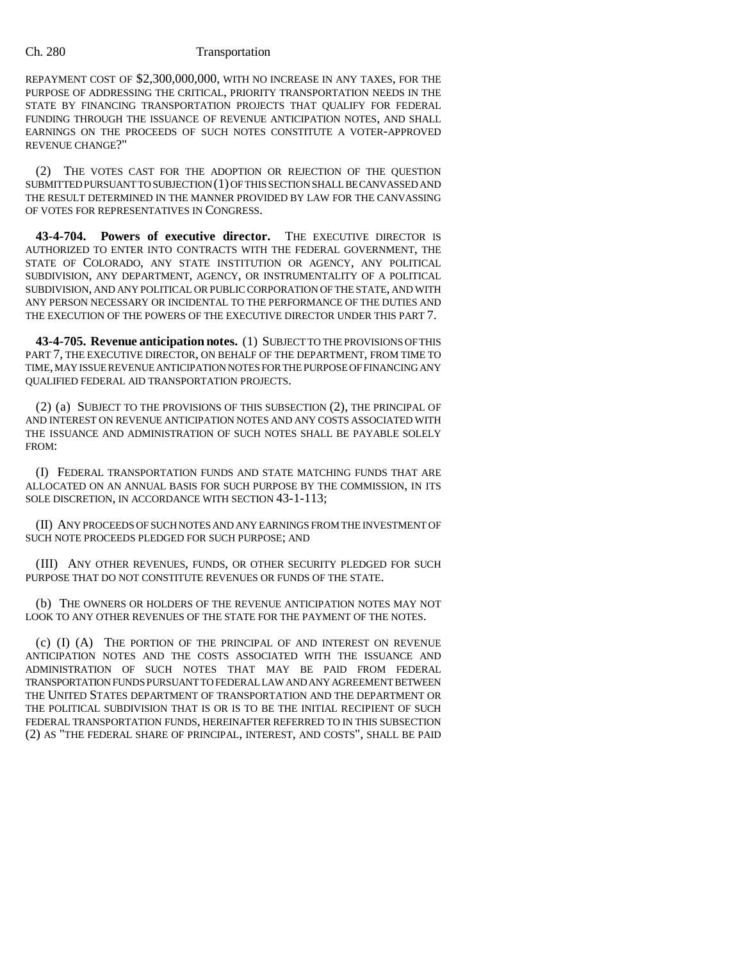REPAYMENT COST OF \$2,300,000,000, WITH NO INCREASE IN ANY TAXES, FOR THE PURPOSE OF ADDRESSING THE CRITICAL, PRIORITY TRANSPORTATION NEEDS IN THE STATE BY FINANCING TRANSPORTATION PROJECTS THAT QUALIFY FOR FEDERAL FUNDING THROUGH THE ISSUANCE OF REVENUE ANTICIPATION NOTES, AND SHALL EARNINGS ON THE PROCEEDS OF SUCH NOTES CONSTITUTE A VOTER-APPROVED REVENUE CHANGE?"

(2) THE VOTES CAST FOR THE ADOPTION OR REJECTION OF THE QUESTION SUBMITTED PURSUANT TO SUBJECTION (1) OF THIS SECTION SHALL BE CANVASSED AND THE RESULT DETERMINED IN THE MANNER PROVIDED BY LAW FOR THE CANVASSING OF VOTES FOR REPRESENTATIVES IN CONGRESS.

**43-4-704. Powers of executive director.** THE EXECUTIVE DIRECTOR IS AUTHORIZED TO ENTER INTO CONTRACTS WITH THE FEDERAL GOVERNMENT, THE STATE OF COLORADO, ANY STATE INSTITUTION OR AGENCY, ANY POLITICAL SUBDIVISION, ANY DEPARTMENT, AGENCY, OR INSTRUMENTALITY OF A POLITICAL SUBDIVISION, AND ANY POLITICAL OR PUBLIC CORPORATION OF THE STATE, AND WITH ANY PERSON NECESSARY OR INCIDENTAL TO THE PERFORMANCE OF THE DUTIES AND THE EXECUTION OF THE POWERS OF THE EXECUTIVE DIRECTOR UNDER THIS PART 7.

**43-4-705. Revenue anticipation notes.** (1) SUBJECT TO THE PROVISIONS OF THIS PART 7, THE EXECUTIVE DIRECTOR, ON BEHALF OF THE DEPARTMENT, FROM TIME TO TIME, MAY ISSUE REVENUE ANTICIPATION NOTES FOR THE PURPOSE OF FINANCING ANY QUALIFIED FEDERAL AID TRANSPORTATION PROJECTS.

(2) (a) SUBJECT TO THE PROVISIONS OF THIS SUBSECTION (2), THE PRINCIPAL OF AND INTEREST ON REVENUE ANTICIPATION NOTES AND ANY COSTS ASSOCIATED WITH THE ISSUANCE AND ADMINISTRATION OF SUCH NOTES SHALL BE PAYABLE SOLELY FROM:

(I) FEDERAL TRANSPORTATION FUNDS AND STATE MATCHING FUNDS THAT ARE ALLOCATED ON AN ANNUAL BASIS FOR SUCH PURPOSE BY THE COMMISSION, IN ITS SOLE DISCRETION, IN ACCORDANCE WITH SECTION 43-1-113;

(II) ANY PROCEEDS OF SUCH NOTES AND ANY EARNINGS FROM THE INVESTMENT OF SUCH NOTE PROCEEDS PLEDGED FOR SUCH PURPOSE; AND

(III) ANY OTHER REVENUES, FUNDS, OR OTHER SECURITY PLEDGED FOR SUCH PURPOSE THAT DO NOT CONSTITUTE REVENUES OR FUNDS OF THE STATE.

(b) THE OWNERS OR HOLDERS OF THE REVENUE ANTICIPATION NOTES MAY NOT LOOK TO ANY OTHER REVENUES OF THE STATE FOR THE PAYMENT OF THE NOTES.

(c) (I) (A) THE PORTION OF THE PRINCIPAL OF AND INTEREST ON REVENUE ANTICIPATION NOTES AND THE COSTS ASSOCIATED WITH THE ISSUANCE AND ADMINISTRATION OF SUCH NOTES THAT MAY BE PAID FROM FEDERAL TRANSPORTATION FUNDS PURSUANT TO FEDERAL LAW AND ANY AGREEMENT BETWEEN THE UNITED STATES DEPARTMENT OF TRANSPORTATION AND THE DEPARTMENT OR THE POLITICAL SUBDIVISION THAT IS OR IS TO BE THE INITIAL RECIPIENT OF SUCH FEDERAL TRANSPORTATION FUNDS, HEREINAFTER REFERRED TO IN THIS SUBSECTION (2) AS "THE FEDERAL SHARE OF PRINCIPAL, INTEREST, AND COSTS", SHALL BE PAID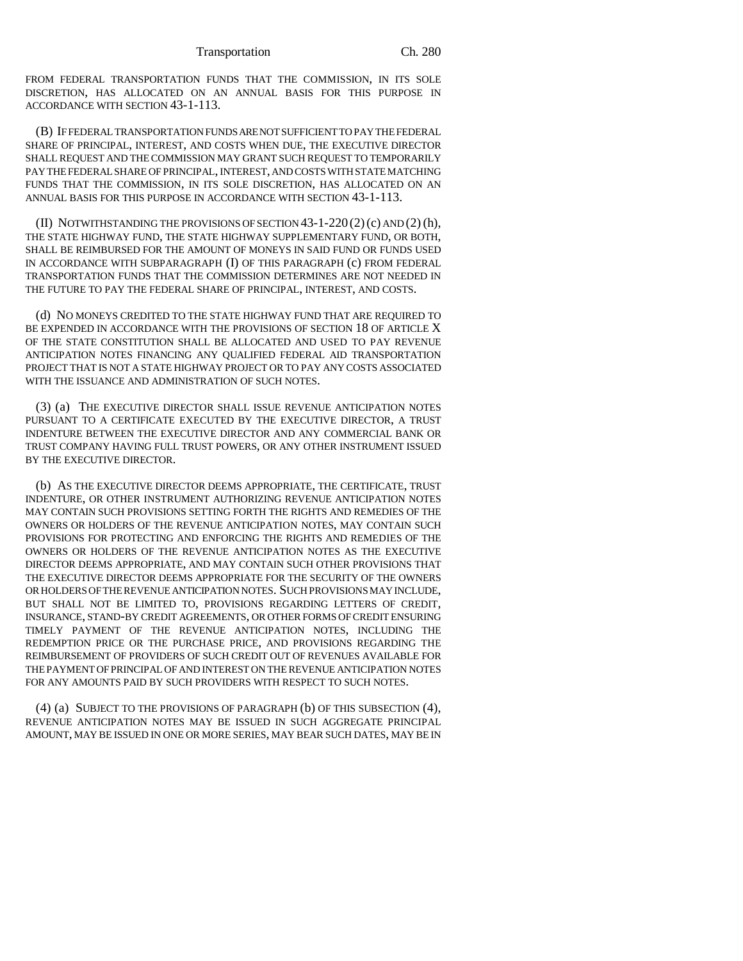Transportation Ch. 280

FROM FEDERAL TRANSPORTATION FUNDS THAT THE COMMISSION, IN ITS SOLE DISCRETION, HAS ALLOCATED ON AN ANNUAL BASIS FOR THIS PURPOSE IN ACCORDANCE WITH SECTION 43-1-113.

(B) IF FEDERAL TRANSPORTATION FUNDS ARE NOT SUFFICIENT TO PAY THE FEDERAL SHARE OF PRINCIPAL, INTEREST, AND COSTS WHEN DUE, THE EXECUTIVE DIRECTOR SHALL REQUEST AND THE COMMISSION MAY GRANT SUCH REQUEST TO TEMPORARILY PAY THE FEDERAL SHARE OF PRINCIPAL, INTEREST, AND COSTS WITH STATE MATCHING FUNDS THAT THE COMMISSION, IN ITS SOLE DISCRETION, HAS ALLOCATED ON AN ANNUAL BASIS FOR THIS PURPOSE IN ACCORDANCE WITH SECTION 43-1-113.

(II) NOTWITHSTANDING THE PROVISIONS OF SECTION  $43-1-220(2)(c)$  AND  $(2)(h)$ , THE STATE HIGHWAY FUND, THE STATE HIGHWAY SUPPLEMENTARY FUND, OR BOTH, SHALL BE REIMBURSED FOR THE AMOUNT OF MONEYS IN SAID FUND OR FUNDS USED IN ACCORDANCE WITH SUBPARAGRAPH (I) OF THIS PARAGRAPH (c) FROM FEDERAL TRANSPORTATION FUNDS THAT THE COMMISSION DETERMINES ARE NOT NEEDED IN THE FUTURE TO PAY THE FEDERAL SHARE OF PRINCIPAL, INTEREST, AND COSTS.

(d) NO MONEYS CREDITED TO THE STATE HIGHWAY FUND THAT ARE REQUIRED TO BE EXPENDED IN ACCORDANCE WITH THE PROVISIONS OF SECTION 18 OF ARTICLE X OF THE STATE CONSTITUTION SHALL BE ALLOCATED AND USED TO PAY REVENUE ANTICIPATION NOTES FINANCING ANY QUALIFIED FEDERAL AID TRANSPORTATION PROJECT THAT IS NOT A STATE HIGHWAY PROJECT OR TO PAY ANY COSTS ASSOCIATED WITH THE ISSUANCE AND ADMINISTRATION OF SUCH NOTES.

(3) (a) THE EXECUTIVE DIRECTOR SHALL ISSUE REVENUE ANTICIPATION NOTES PURSUANT TO A CERTIFICATE EXECUTED BY THE EXECUTIVE DIRECTOR, A TRUST INDENTURE BETWEEN THE EXECUTIVE DIRECTOR AND ANY COMMERCIAL BANK OR TRUST COMPANY HAVING FULL TRUST POWERS, OR ANY OTHER INSTRUMENT ISSUED BY THE EXECUTIVE DIRECTOR.

(b) AS THE EXECUTIVE DIRECTOR DEEMS APPROPRIATE, THE CERTIFICATE, TRUST INDENTURE, OR OTHER INSTRUMENT AUTHORIZING REVENUE ANTICIPATION NOTES MAY CONTAIN SUCH PROVISIONS SETTING FORTH THE RIGHTS AND REMEDIES OF THE OWNERS OR HOLDERS OF THE REVENUE ANTICIPATION NOTES, MAY CONTAIN SUCH PROVISIONS FOR PROTECTING AND ENFORCING THE RIGHTS AND REMEDIES OF THE OWNERS OR HOLDERS OF THE REVENUE ANTICIPATION NOTES AS THE EXECUTIVE DIRECTOR DEEMS APPROPRIATE, AND MAY CONTAIN SUCH OTHER PROVISIONS THAT THE EXECUTIVE DIRECTOR DEEMS APPROPRIATE FOR THE SECURITY OF THE OWNERS OR HOLDERS OF THE REVENUE ANTICIPATION NOTES. SUCH PROVISIONS MAY INCLUDE, BUT SHALL NOT BE LIMITED TO, PROVISIONS REGARDING LETTERS OF CREDIT, INSURANCE, STAND-BY CREDIT AGREEMENTS, OR OTHER FORMS OF CREDIT ENSURING TIMELY PAYMENT OF THE REVENUE ANTICIPATION NOTES, INCLUDING THE REDEMPTION PRICE OR THE PURCHASE PRICE, AND PROVISIONS REGARDING THE REIMBURSEMENT OF PROVIDERS OF SUCH CREDIT OUT OF REVENUES AVAILABLE FOR THE PAYMENT OF PRINCIPAL OF AND INTEREST ON THE REVENUE ANTICIPATION NOTES FOR ANY AMOUNTS PAID BY SUCH PROVIDERS WITH RESPECT TO SUCH NOTES.

(4) (a) SUBJECT TO THE PROVISIONS OF PARAGRAPH (b) OF THIS SUBSECTION (4), REVENUE ANTICIPATION NOTES MAY BE ISSUED IN SUCH AGGREGATE PRINCIPAL AMOUNT, MAY BE ISSUED IN ONE OR MORE SERIES, MAY BEAR SUCH DATES, MAY BE IN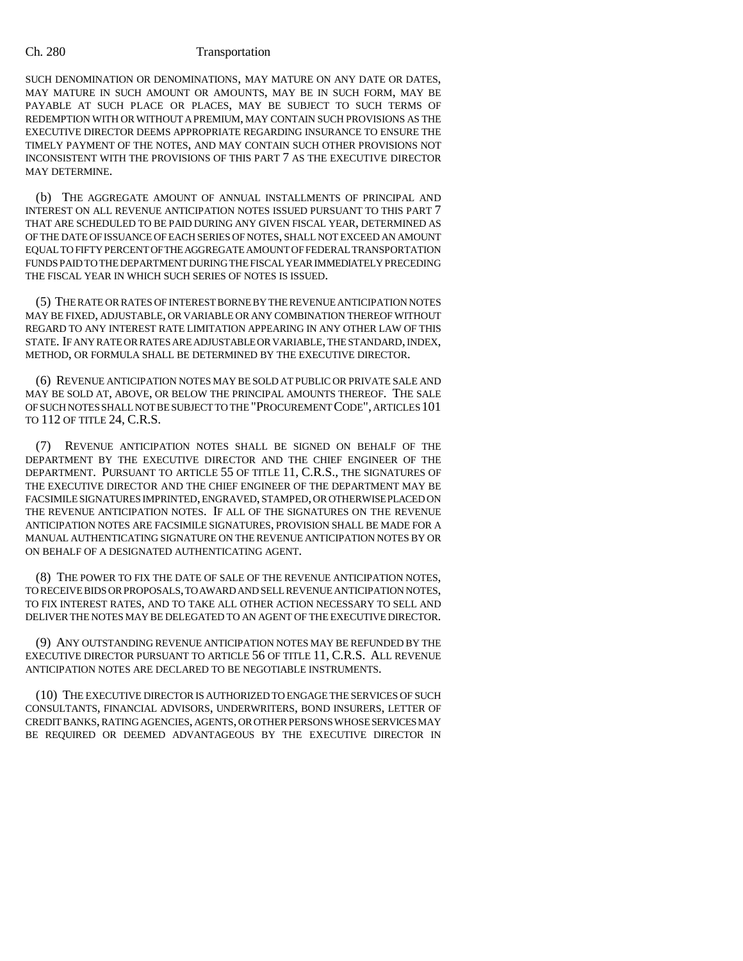SUCH DENOMINATION OR DENOMINATIONS, MAY MATURE ON ANY DATE OR DATES, MAY MATURE IN SUCH AMOUNT OR AMOUNTS, MAY BE IN SUCH FORM, MAY BE PAYABLE AT SUCH PLACE OR PLACES, MAY BE SUBJECT TO SUCH TERMS OF REDEMPTION WITH OR WITHOUT A PREMIUM, MAY CONTAIN SUCH PROVISIONS AS THE EXECUTIVE DIRECTOR DEEMS APPROPRIATE REGARDING INSURANCE TO ENSURE THE TIMELY PAYMENT OF THE NOTES, AND MAY CONTAIN SUCH OTHER PROVISIONS NOT INCONSISTENT WITH THE PROVISIONS OF THIS PART 7 AS THE EXECUTIVE DIRECTOR MAY DETERMINE.

(b) THE AGGREGATE AMOUNT OF ANNUAL INSTALLMENTS OF PRINCIPAL AND INTEREST ON ALL REVENUE ANTICIPATION NOTES ISSUED PURSUANT TO THIS PART 7 THAT ARE SCHEDULED TO BE PAID DURING ANY GIVEN FISCAL YEAR, DETERMINED AS OF THE DATE OF ISSUANCE OF EACH SERIES OF NOTES, SHALL NOT EXCEED AN AMOUNT EQUAL TO FIFTY PERCENT OF THE AGGREGATE AMOUNT OF FEDERAL TRANSPORTATION FUNDS PAID TO THE DEPARTMENT DURING THE FISCAL YEAR IMMEDIATELY PRECEDING THE FISCAL YEAR IN WHICH SUCH SERIES OF NOTES IS ISSUED.

(5) THE RATE OR RATES OF INTEREST BORNE BY THE REVENUE ANTICIPATION NOTES MAY BE FIXED, ADJUSTABLE, OR VARIABLE OR ANY COMBINATION THEREOF WITHOUT REGARD TO ANY INTEREST RATE LIMITATION APPEARING IN ANY OTHER LAW OF THIS STATE. IF ANY RATE OR RATES ARE ADJUSTABLE OR VARIABLE, THE STANDARD, INDEX, METHOD, OR FORMULA SHALL BE DETERMINED BY THE EXECUTIVE DIRECTOR.

(6) REVENUE ANTICIPATION NOTES MAY BE SOLD AT PUBLIC OR PRIVATE SALE AND MAY BE SOLD AT, ABOVE, OR BELOW THE PRINCIPAL AMOUNTS THEREOF. THE SALE OF SUCH NOTES SHALL NOT BE SUBJECT TO THE "PROCUREMENT CODE", ARTICLES 101 TO 112 OF TITLE 24, C.R.S.

(7) REVENUE ANTICIPATION NOTES SHALL BE SIGNED ON BEHALF OF THE DEPARTMENT BY THE EXECUTIVE DIRECTOR AND THE CHIEF ENGINEER OF THE DEPARTMENT. PURSUANT TO ARTICLE 55 OF TITLE 11, C.R.S., THE SIGNATURES OF THE EXECUTIVE DIRECTOR AND THE CHIEF ENGINEER OF THE DEPARTMENT MAY BE FACSIMILE SIGNATURES IMPRINTED, ENGRAVED, STAMPED, OR OTHERWISE PLACED ON THE REVENUE ANTICIPATION NOTES. IF ALL OF THE SIGNATURES ON THE REVENUE ANTICIPATION NOTES ARE FACSIMILE SIGNATURES, PROVISION SHALL BE MADE FOR A MANUAL AUTHENTICATING SIGNATURE ON THE REVENUE ANTICIPATION NOTES BY OR ON BEHALF OF A DESIGNATED AUTHENTICATING AGENT.

(8) THE POWER TO FIX THE DATE OF SALE OF THE REVENUE ANTICIPATION NOTES, TO RECEIVE BIDS OR PROPOSALS, TO AWARD AND SELL REVENUE ANTICIPATION NOTES, TO FIX INTEREST RATES, AND TO TAKE ALL OTHER ACTION NECESSARY TO SELL AND DELIVER THE NOTES MAY BE DELEGATED TO AN AGENT OF THE EXECUTIVE DIRECTOR.

(9) ANY OUTSTANDING REVENUE ANTICIPATION NOTES MAY BE REFUNDED BY THE EXECUTIVE DIRECTOR PURSUANT TO ARTICLE 56 OF TITLE 11, C.R.S. ALL REVENUE ANTICIPATION NOTES ARE DECLARED TO BE NEGOTIABLE INSTRUMENTS.

(10) THE EXECUTIVE DIRECTOR IS AUTHORIZED TO ENGAGE THE SERVICES OF SUCH CONSULTANTS, FINANCIAL ADVISORS, UNDERWRITERS, BOND INSURERS, LETTER OF CREDIT BANKS, RATING AGENCIES, AGENTS, OR OTHER PERSONS WHOSE SERVICES MAY BE REQUIRED OR DEEMED ADVANTAGEOUS BY THE EXECUTIVE DIRECTOR IN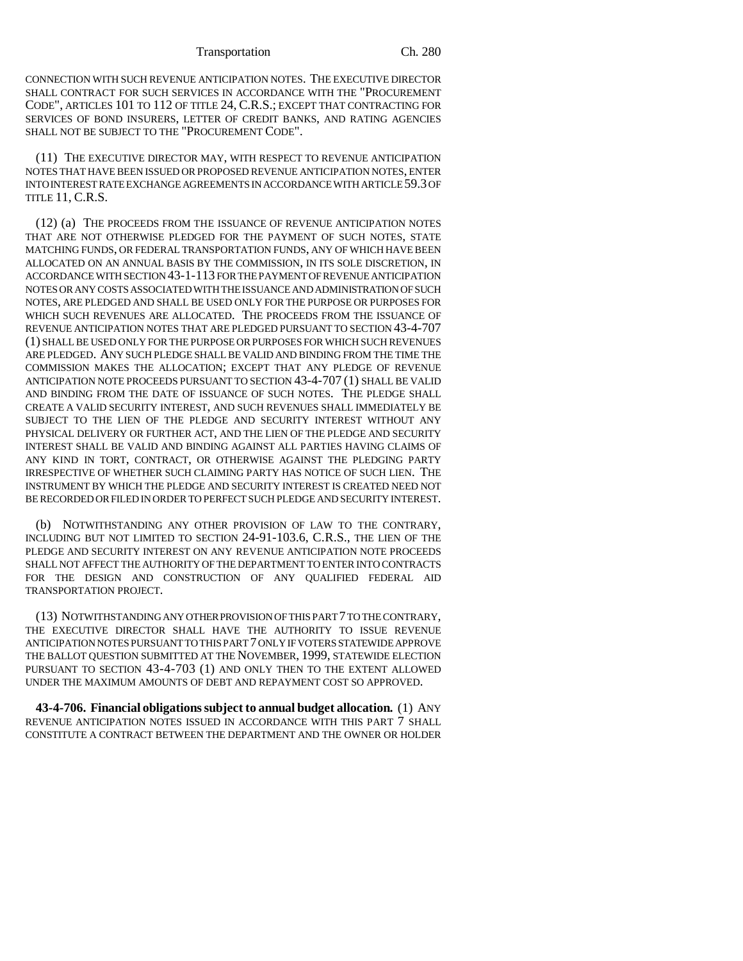CONNECTION WITH SUCH REVENUE ANTICIPATION NOTES. THE EXECUTIVE DIRECTOR SHALL CONTRACT FOR SUCH SERVICES IN ACCORDANCE WITH THE "PROCUREMENT CODE", ARTICLES 101 TO 112 OF TITLE 24, C.R.S.; EXCEPT THAT CONTRACTING FOR SERVICES OF BOND INSURERS, LETTER OF CREDIT BANKS, AND RATING AGENCIES SHALL NOT BE SUBJECT TO THE "PROCUREMENT CODE".

(11) THE EXECUTIVE DIRECTOR MAY, WITH RESPECT TO REVENUE ANTICIPATION NOTES THAT HAVE BEEN ISSUED OR PROPOSED REVENUE ANTICIPATION NOTES, ENTER INTO INTEREST RATE EXCHANGE AGREEMENTS IN ACCORDANCE WITH ARTICLE 59.3 OF TITLE 11, C.R.S.

(12) (a) THE PROCEEDS FROM THE ISSUANCE OF REVENUE ANTICIPATION NOTES THAT ARE NOT OTHERWISE PLEDGED FOR THE PAYMENT OF SUCH NOTES, STATE MATCHING FUNDS, OR FEDERAL TRANSPORTATION FUNDS, ANY OF WHICH HAVE BEEN ALLOCATED ON AN ANNUAL BASIS BY THE COMMISSION, IN ITS SOLE DISCRETION, IN ACCORDANCE WITH SECTION 43-1-113 FOR THE PAYMENT OF REVENUE ANTICIPATION NOTES OR ANY COSTS ASSOCIATED WITH THE ISSUANCE AND ADMINISTRATION OF SUCH NOTES, ARE PLEDGED AND SHALL BE USED ONLY FOR THE PURPOSE OR PURPOSES FOR WHICH SUCH REVENUES ARE ALLOCATED. THE PROCEEDS FROM THE ISSUANCE OF REVENUE ANTICIPATION NOTES THAT ARE PLEDGED PURSUANT TO SECTION 43-4-707 (1) SHALL BE USED ONLY FOR THE PURPOSE OR PURPOSES FOR WHICH SUCH REVENUES ARE PLEDGED. ANY SUCH PLEDGE SHALL BE VALID AND BINDING FROM THE TIME THE COMMISSION MAKES THE ALLOCATION; EXCEPT THAT ANY PLEDGE OF REVENUE ANTICIPATION NOTE PROCEEDS PURSUANT TO SECTION 43-4-707 (1) SHALL BE VALID AND BINDING FROM THE DATE OF ISSUANCE OF SUCH NOTES. THE PLEDGE SHALL CREATE A VALID SECURITY INTEREST, AND SUCH REVENUES SHALL IMMEDIATELY BE SUBJECT TO THE LIEN OF THE PLEDGE AND SECURITY INTEREST WITHOUT ANY PHYSICAL DELIVERY OR FURTHER ACT, AND THE LIEN OF THE PLEDGE AND SECURITY INTEREST SHALL BE VALID AND BINDING AGAINST ALL PARTIES HAVING CLAIMS OF ANY KIND IN TORT, CONTRACT, OR OTHERWISE AGAINST THE PLEDGING PARTY IRRESPECTIVE OF WHETHER SUCH CLAIMING PARTY HAS NOTICE OF SUCH LIEN. THE INSTRUMENT BY WHICH THE PLEDGE AND SECURITY INTEREST IS CREATED NEED NOT BE RECORDED OR FILED IN ORDER TO PERFECT SUCH PLEDGE AND SECURITY INTEREST.

(b) NOTWITHSTANDING ANY OTHER PROVISION OF LAW TO THE CONTRARY, INCLUDING BUT NOT LIMITED TO SECTION 24-91-103.6, C.R.S., THE LIEN OF THE PLEDGE AND SECURITY INTEREST ON ANY REVENUE ANTICIPATION NOTE PROCEEDS SHALL NOT AFFECT THE AUTHORITY OF THE DEPARTMENT TO ENTER INTO CONTRACTS FOR THE DESIGN AND CONSTRUCTION OF ANY QUALIFIED FEDERAL AID TRANSPORTATION PROJECT.

(13) NOTWITHSTANDING ANY OTHER PROVISION OF THIS PART 7 TO THE CONTRARY, THE EXECUTIVE DIRECTOR SHALL HAVE THE AUTHORITY TO ISSUE REVENUE ANTICIPATION NOTES PURSUANT TO THIS PART 7 ONLY IF VOTERS STATEWIDE APPROVE THE BALLOT QUESTION SUBMITTED AT THE NOVEMBER, 1999, STATEWIDE ELECTION PURSUANT TO SECTION 43-4-703 (1) AND ONLY THEN TO THE EXTENT ALLOWED UNDER THE MAXIMUM AMOUNTS OF DEBT AND REPAYMENT COST SO APPROVED.

**43-4-706. Financial obligations subject to annual budget allocation.** (1) ANY REVENUE ANTICIPATION NOTES ISSUED IN ACCORDANCE WITH THIS PART 7 SHALL CONSTITUTE A CONTRACT BETWEEN THE DEPARTMENT AND THE OWNER OR HOLDER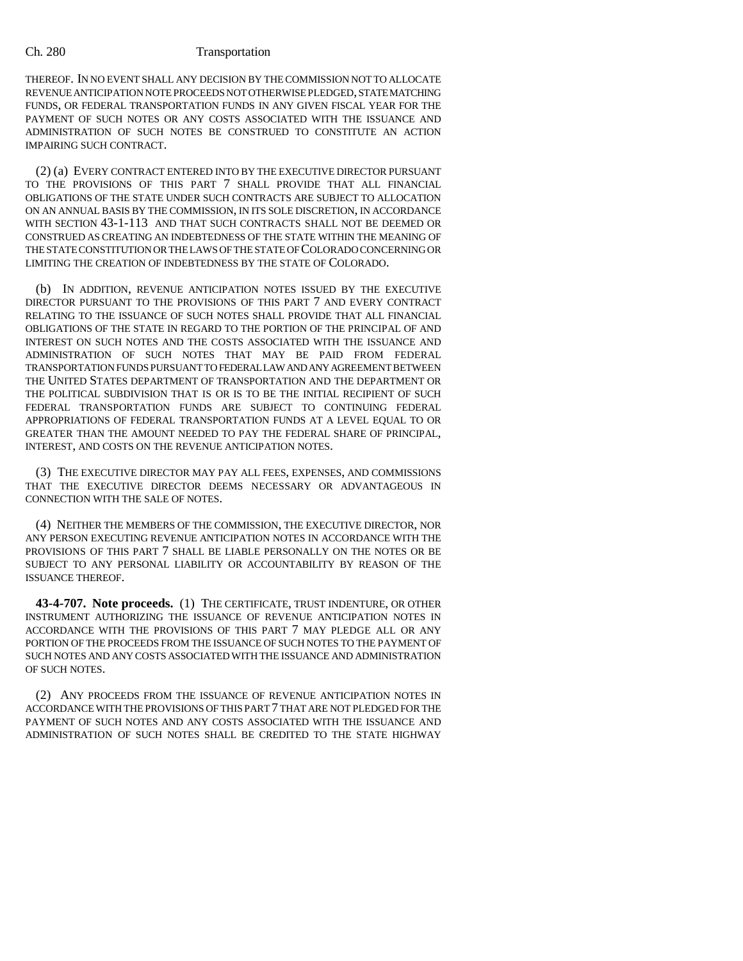THEREOF. IN NO EVENT SHALL ANY DECISION BY THE COMMISSION NOT TO ALLOCATE REVENUE ANTICIPATION NOTE PROCEEDS NOT OTHERWISE PLEDGED, STATE MATCHING FUNDS, OR FEDERAL TRANSPORTATION FUNDS IN ANY GIVEN FISCAL YEAR FOR THE PAYMENT OF SUCH NOTES OR ANY COSTS ASSOCIATED WITH THE ISSUANCE AND ADMINISTRATION OF SUCH NOTES BE CONSTRUED TO CONSTITUTE AN ACTION IMPAIRING SUCH CONTRACT.

(2) (a) EVERY CONTRACT ENTERED INTO BY THE EXECUTIVE DIRECTOR PURSUANT TO THE PROVISIONS OF THIS PART 7 SHALL PROVIDE THAT ALL FINANCIAL OBLIGATIONS OF THE STATE UNDER SUCH CONTRACTS ARE SUBJECT TO ALLOCATION ON AN ANNUAL BASIS BY THE COMMISSION, IN ITS SOLE DISCRETION, IN ACCORDANCE WITH SECTION 43-1-113 AND THAT SUCH CONTRACTS SHALL NOT BE DEEMED OR CONSTRUED AS CREATING AN INDEBTEDNESS OF THE STATE WITHIN THE MEANING OF THE STATE CONSTITUTION OR THE LAWS OF THE STATE OF COLORADO CONCERNING OR LIMITING THE CREATION OF INDEBTEDNESS BY THE STATE OF COLORADO.

(b) IN ADDITION, REVENUE ANTICIPATION NOTES ISSUED BY THE EXECUTIVE DIRECTOR PURSUANT TO THE PROVISIONS OF THIS PART 7 AND EVERY CONTRACT RELATING TO THE ISSUANCE OF SUCH NOTES SHALL PROVIDE THAT ALL FINANCIAL OBLIGATIONS OF THE STATE IN REGARD TO THE PORTION OF THE PRINCIPAL OF AND INTEREST ON SUCH NOTES AND THE COSTS ASSOCIATED WITH THE ISSUANCE AND ADMINISTRATION OF SUCH NOTES THAT MAY BE PAID FROM FEDERAL TRANSPORTATION FUNDS PURSUANT TO FEDERAL LAW AND ANY AGREEMENT BETWEEN THE UNITED STATES DEPARTMENT OF TRANSPORTATION AND THE DEPARTMENT OR THE POLITICAL SUBDIVISION THAT IS OR IS TO BE THE INITIAL RECIPIENT OF SUCH FEDERAL TRANSPORTATION FUNDS ARE SUBJECT TO CONTINUING FEDERAL APPROPRIATIONS OF FEDERAL TRANSPORTATION FUNDS AT A LEVEL EQUAL TO OR GREATER THAN THE AMOUNT NEEDED TO PAY THE FEDERAL SHARE OF PRINCIPAL, INTEREST, AND COSTS ON THE REVENUE ANTICIPATION NOTES.

(3) THE EXECUTIVE DIRECTOR MAY PAY ALL FEES, EXPENSES, AND COMMISSIONS THAT THE EXECUTIVE DIRECTOR DEEMS NECESSARY OR ADVANTAGEOUS IN CONNECTION WITH THE SALE OF NOTES.

(4) NEITHER THE MEMBERS OF THE COMMISSION, THE EXECUTIVE DIRECTOR, NOR ANY PERSON EXECUTING REVENUE ANTICIPATION NOTES IN ACCORDANCE WITH THE PROVISIONS OF THIS PART 7 SHALL BE LIABLE PERSONALLY ON THE NOTES OR BE SUBJECT TO ANY PERSONAL LIABILITY OR ACCOUNTABILITY BY REASON OF THE ISSUANCE THEREOF.

**43-4-707. Note proceeds.** (1) THE CERTIFICATE, TRUST INDENTURE, OR OTHER INSTRUMENT AUTHORIZING THE ISSUANCE OF REVENUE ANTICIPATION NOTES IN ACCORDANCE WITH THE PROVISIONS OF THIS PART 7 MAY PLEDGE ALL OR ANY PORTION OF THE PROCEEDS FROM THE ISSUANCE OF SUCH NOTES TO THE PAYMENT OF SUCH NOTES AND ANY COSTS ASSOCIATED WITH THE ISSUANCE AND ADMINISTRATION OF SUCH NOTES.

(2) ANY PROCEEDS FROM THE ISSUANCE OF REVENUE ANTICIPATION NOTES IN ACCORDANCE WITH THE PROVISIONS OF THIS PART 7 THAT ARE NOT PLEDGED FOR THE PAYMENT OF SUCH NOTES AND ANY COSTS ASSOCIATED WITH THE ISSUANCE AND ADMINISTRATION OF SUCH NOTES SHALL BE CREDITED TO THE STATE HIGHWAY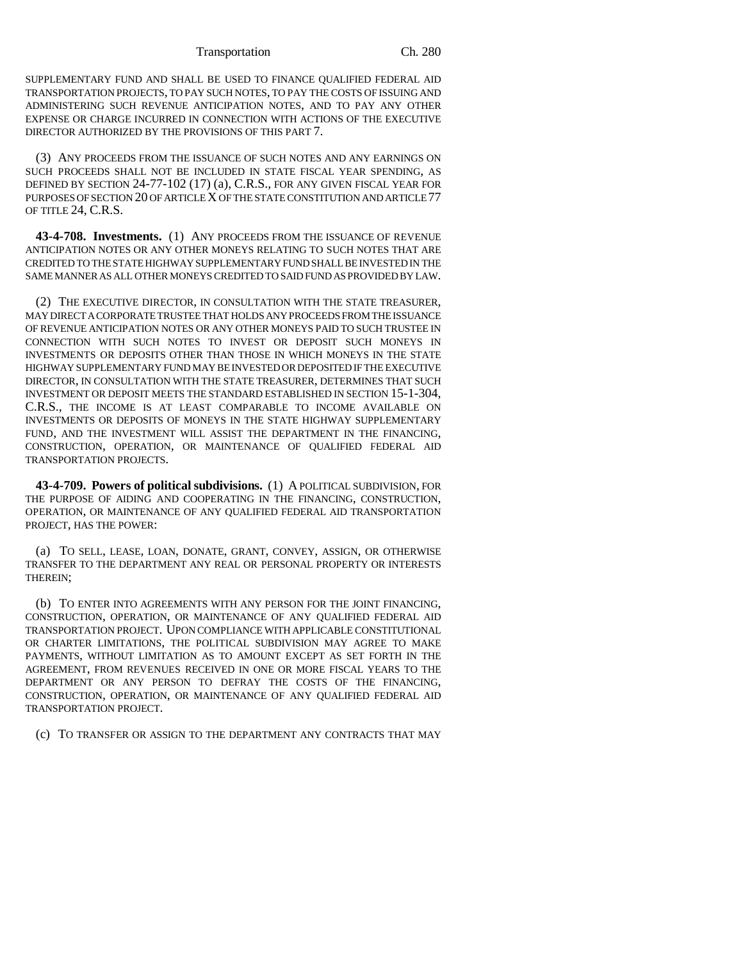Transportation Ch. 280

SUPPLEMENTARY FUND AND SHALL BE USED TO FINANCE QUALIFIED FEDERAL AID TRANSPORTATION PROJECTS, TO PAY SUCH NOTES, TO PAY THE COSTS OF ISSUING AND ADMINISTERING SUCH REVENUE ANTICIPATION NOTES, AND TO PAY ANY OTHER EXPENSE OR CHARGE INCURRED IN CONNECTION WITH ACTIONS OF THE EXECUTIVE DIRECTOR AUTHORIZED BY THE PROVISIONS OF THIS PART 7.

(3) ANY PROCEEDS FROM THE ISSUANCE OF SUCH NOTES AND ANY EARNINGS ON SUCH PROCEEDS SHALL NOT BE INCLUDED IN STATE FISCAL YEAR SPENDING, AS DEFINED BY SECTION 24-77-102 (17) (a), C.R.S., FOR ANY GIVEN FISCAL YEAR FOR PURPOSES OF SECTION 20 OF ARTICLE X OF THE STATE CONSTITUTION AND ARTICLE 77 OF TITLE 24, C.R.S.

**43-4-708. Investments.** (1) ANY PROCEEDS FROM THE ISSUANCE OF REVENUE ANTICIPATION NOTES OR ANY OTHER MONEYS RELATING TO SUCH NOTES THAT ARE CREDITED TO THE STATE HIGHWAY SUPPLEMENTARY FUND SHALL BE INVESTED IN THE SAME MANNER AS ALL OTHER MONEYS CREDITED TO SAID FUND AS PROVIDED BY LAW.

(2) THE EXECUTIVE DIRECTOR, IN CONSULTATION WITH THE STATE TREASURER, MAY DIRECT A CORPORATE TRUSTEE THAT HOLDS ANY PROCEEDS FROM THE ISSUANCE OF REVENUE ANTICIPATION NOTES OR ANY OTHER MONEYS PAID TO SUCH TRUSTEE IN CONNECTION WITH SUCH NOTES TO INVEST OR DEPOSIT SUCH MONEYS IN INVESTMENTS OR DEPOSITS OTHER THAN THOSE IN WHICH MONEYS IN THE STATE HIGHWAY SUPPLEMENTARY FUND MAY BE INVESTED OR DEPOSITED IF THE EXECUTIVE DIRECTOR, IN CONSULTATION WITH THE STATE TREASURER, DETERMINES THAT SUCH INVESTMENT OR DEPOSIT MEETS THE STANDARD ESTABLISHED IN SECTION 15-1-304, C.R.S., THE INCOME IS AT LEAST COMPARABLE TO INCOME AVAILABLE ON INVESTMENTS OR DEPOSITS OF MONEYS IN THE STATE HIGHWAY SUPPLEMENTARY FUND, AND THE INVESTMENT WILL ASSIST THE DEPARTMENT IN THE FINANCING, CONSTRUCTION, OPERATION, OR MAINTENANCE OF QUALIFIED FEDERAL AID TRANSPORTATION PROJECTS.

**43-4-709. Powers of political subdivisions.** (1) A POLITICAL SUBDIVISION, FOR THE PURPOSE OF AIDING AND COOPERATING IN THE FINANCING, CONSTRUCTION, OPERATION, OR MAINTENANCE OF ANY QUALIFIED FEDERAL AID TRANSPORTATION PROJECT, HAS THE POWER:

(a) TO SELL, LEASE, LOAN, DONATE, GRANT, CONVEY, ASSIGN, OR OTHERWISE TRANSFER TO THE DEPARTMENT ANY REAL OR PERSONAL PROPERTY OR INTERESTS THEREIN;

(b) TO ENTER INTO AGREEMENTS WITH ANY PERSON FOR THE JOINT FINANCING, CONSTRUCTION, OPERATION, OR MAINTENANCE OF ANY QUALIFIED FEDERAL AID TRANSPORTATION PROJECT. UPON COMPLIANCE WITH APPLICABLE CONSTITUTIONAL OR CHARTER LIMITATIONS, THE POLITICAL SUBDIVISION MAY AGREE TO MAKE PAYMENTS, WITHOUT LIMITATION AS TO AMOUNT EXCEPT AS SET FORTH IN THE AGREEMENT, FROM REVENUES RECEIVED IN ONE OR MORE FISCAL YEARS TO THE DEPARTMENT OR ANY PERSON TO DEFRAY THE COSTS OF THE FINANCING, CONSTRUCTION, OPERATION, OR MAINTENANCE OF ANY QUALIFIED FEDERAL AID TRANSPORTATION PROJECT.

(c) TO TRANSFER OR ASSIGN TO THE DEPARTMENT ANY CONTRACTS THAT MAY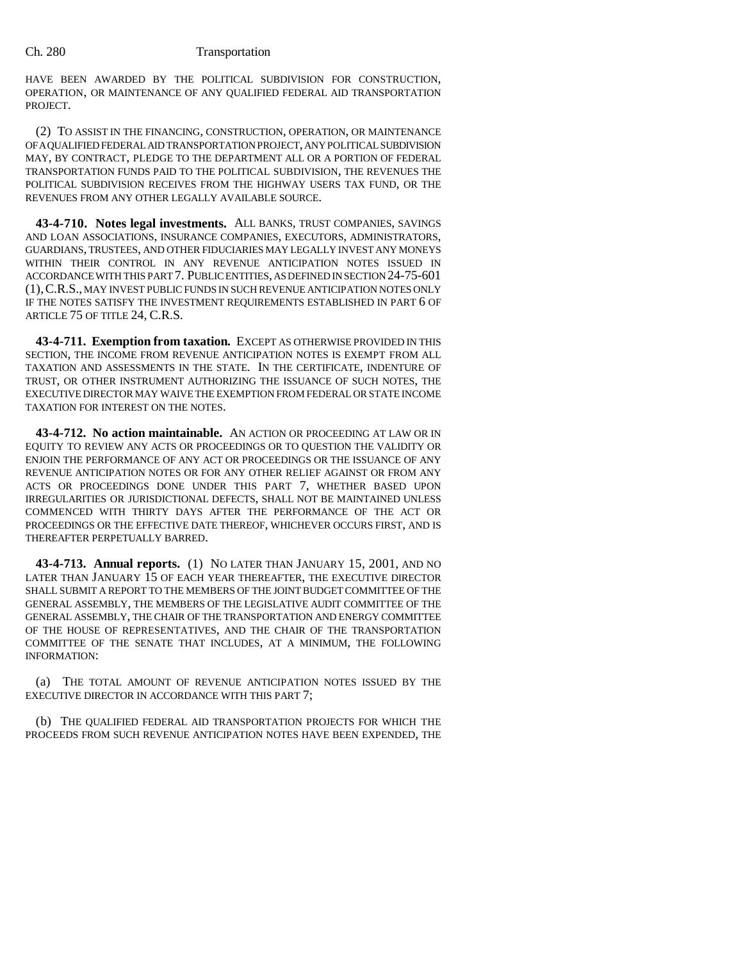HAVE BEEN AWARDED BY THE POLITICAL SUBDIVISION FOR CONSTRUCTION, OPERATION, OR MAINTENANCE OF ANY QUALIFIED FEDERAL AID TRANSPORTATION PROJECT.

(2) TO ASSIST IN THE FINANCING, CONSTRUCTION, OPERATION, OR MAINTENANCE OF A QUALIFIED FEDERAL AID TRANSPORTATION PROJECT, ANY POLITICAL SUBDIVISION MAY, BY CONTRACT, PLEDGE TO THE DEPARTMENT ALL OR A PORTION OF FEDERAL TRANSPORTATION FUNDS PAID TO THE POLITICAL SUBDIVISION, THE REVENUES THE POLITICAL SUBDIVISION RECEIVES FROM THE HIGHWAY USERS TAX FUND, OR THE REVENUES FROM ANY OTHER LEGALLY AVAILABLE SOURCE.

**43-4-710. Notes legal investments.** ALL BANKS, TRUST COMPANIES, SAVINGS AND LOAN ASSOCIATIONS, INSURANCE COMPANIES, EXECUTORS, ADMINISTRATORS, GUARDIANS, TRUSTEES, AND OTHER FIDUCIARIES MAY LEGALLY INVEST ANY MONEYS WITHIN THEIR CONTROL IN ANY REVENUE ANTICIPATION NOTES ISSUED IN ACCORDANCE WITH THIS PART 7. PUBLIC ENTITIES, AS DEFINED IN SECTION 24-75-601 (1),C.R.S., MAY INVEST PUBLIC FUNDS IN SUCH REVENUE ANTICIPATION NOTES ONLY IF THE NOTES SATISFY THE INVESTMENT REQUIREMENTS ESTABLISHED IN PART 6 OF ARTICLE 75 OF TITLE 24, C.R.S.

**43-4-711. Exemption from taxation.** EXCEPT AS OTHERWISE PROVIDED IN THIS SECTION, THE INCOME FROM REVENUE ANTICIPATION NOTES IS EXEMPT FROM ALL TAXATION AND ASSESSMENTS IN THE STATE. IN THE CERTIFICATE, INDENTURE OF TRUST, OR OTHER INSTRUMENT AUTHORIZING THE ISSUANCE OF SUCH NOTES, THE EXECUTIVE DIRECTOR MAY WAIVE THE EXEMPTION FROM FEDERAL OR STATE INCOME TAXATION FOR INTEREST ON THE NOTES.

**43-4-712. No action maintainable.** AN ACTION OR PROCEEDING AT LAW OR IN EQUITY TO REVIEW ANY ACTS OR PROCEEDINGS OR TO QUESTION THE VALIDITY OR ENJOIN THE PERFORMANCE OF ANY ACT OR PROCEEDINGS OR THE ISSUANCE OF ANY REVENUE ANTICIPATION NOTES OR FOR ANY OTHER RELIEF AGAINST OR FROM ANY ACTS OR PROCEEDINGS DONE UNDER THIS PART 7, WHETHER BASED UPON IRREGULARITIES OR JURISDICTIONAL DEFECTS, SHALL NOT BE MAINTAINED UNLESS COMMENCED WITH THIRTY DAYS AFTER THE PERFORMANCE OF THE ACT OR PROCEEDINGS OR THE EFFECTIVE DATE THEREOF, WHICHEVER OCCURS FIRST, AND IS THEREAFTER PERPETUALLY BARRED.

**43-4-713. Annual reports.** (1) NO LATER THAN JANUARY 15, 2001, AND NO LATER THAN JANUARY 15 OF EACH YEAR THEREAFTER, THE EXECUTIVE DIRECTOR SHALL SUBMIT A REPORT TO THE MEMBERS OF THE JOINT BUDGET COMMITTEE OF THE GENERAL ASSEMBLY, THE MEMBERS OF THE LEGISLATIVE AUDIT COMMITTEE OF THE GENERAL ASSEMBLY, THE CHAIR OF THE TRANSPORTATION AND ENERGY COMMITTEE OF THE HOUSE OF REPRESENTATIVES, AND THE CHAIR OF THE TRANSPORTATION COMMITTEE OF THE SENATE THAT INCLUDES, AT A MINIMUM, THE FOLLOWING INFORMATION:

(a) THE TOTAL AMOUNT OF REVENUE ANTICIPATION NOTES ISSUED BY THE EXECUTIVE DIRECTOR IN ACCORDANCE WITH THIS PART 7;

(b) THE QUALIFIED FEDERAL AID TRANSPORTATION PROJECTS FOR WHICH THE PROCEEDS FROM SUCH REVENUE ANTICIPATION NOTES HAVE BEEN EXPENDED, THE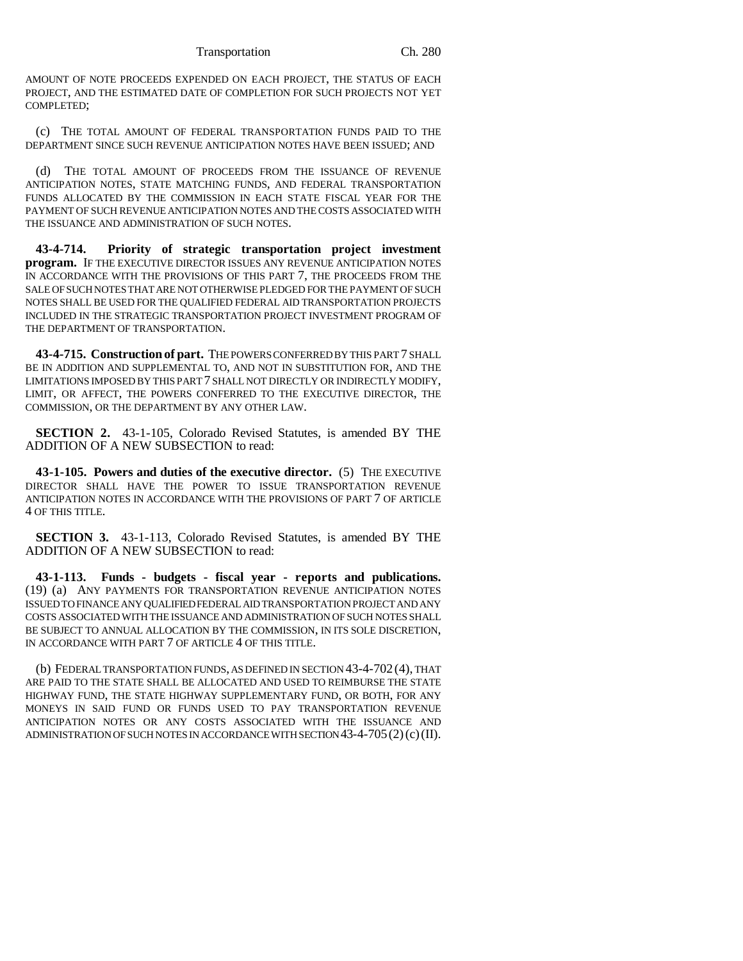AMOUNT OF NOTE PROCEEDS EXPENDED ON EACH PROJECT, THE STATUS OF EACH PROJECT, AND THE ESTIMATED DATE OF COMPLETION FOR SUCH PROJECTS NOT YET COMPLETED;

(c) THE TOTAL AMOUNT OF FEDERAL TRANSPORTATION FUNDS PAID TO THE DEPARTMENT SINCE SUCH REVENUE ANTICIPATION NOTES HAVE BEEN ISSUED; AND

(d) THE TOTAL AMOUNT OF PROCEEDS FROM THE ISSUANCE OF REVENUE ANTICIPATION NOTES, STATE MATCHING FUNDS, AND FEDERAL TRANSPORTATION FUNDS ALLOCATED BY THE COMMISSION IN EACH STATE FISCAL YEAR FOR THE PAYMENT OF SUCH REVENUE ANTICIPATION NOTES AND THE COSTS ASSOCIATED WITH THE ISSUANCE AND ADMINISTRATION OF SUCH NOTES.

**43-4-714. Priority of strategic transportation project investment program.** IF THE EXECUTIVE DIRECTOR ISSUES ANY REVENUE ANTICIPATION NOTES IN ACCORDANCE WITH THE PROVISIONS OF THIS PART 7, THE PROCEEDS FROM THE SALE OF SUCH NOTES THAT ARE NOT OTHERWISE PLEDGED FOR THE PAYMENT OF SUCH NOTES SHALL BE USED FOR THE QUALIFIED FEDERAL AID TRANSPORTATION PROJECTS INCLUDED IN THE STRATEGIC TRANSPORTATION PROJECT INVESTMENT PROGRAM OF THE DEPARTMENT OF TRANSPORTATION.

**43-4-715. Construction of part.** THE POWERS CONFERRED BY THIS PART 7 SHALL BE IN ADDITION AND SUPPLEMENTAL TO, AND NOT IN SUBSTITUTION FOR, AND THE LIMITATIONS IMPOSED BY THIS PART 7 SHALL NOT DIRECTLY OR INDIRECTLY MODIFY, LIMIT, OR AFFECT, THE POWERS CONFERRED TO THE EXECUTIVE DIRECTOR, THE COMMISSION, OR THE DEPARTMENT BY ANY OTHER LAW.

**SECTION 2.** 43-1-105, Colorado Revised Statutes, is amended BY THE ADDITION OF A NEW SUBSECTION to read:

**43-1-105. Powers and duties of the executive director.** (5) THE EXECUTIVE DIRECTOR SHALL HAVE THE POWER TO ISSUE TRANSPORTATION REVENUE ANTICIPATION NOTES IN ACCORDANCE WITH THE PROVISIONS OF PART 7 OF ARTICLE 4 OF THIS TITLE.

**SECTION 3.** 43-1-113, Colorado Revised Statutes, is amended BY THE ADDITION OF A NEW SUBSECTION to read:

**43-1-113. Funds - budgets - fiscal year - reports and publications.** (19) (a) ANY PAYMENTS FOR TRANSPORTATION REVENUE ANTICIPATION NOTES ISSUED TO FINANCE ANY QUALIFIED FEDERAL AID TRANSPORTATION PROJECT AND ANY COSTS ASSOCIATED WITH THE ISSUANCE AND ADMINISTRATION OF SUCH NOTES SHALL BE SUBJECT TO ANNUAL ALLOCATION BY THE COMMISSION, IN ITS SOLE DISCRETION, IN ACCORDANCE WITH PART 7 OF ARTICLE 4 OF THIS TITLE.

(b) FEDERAL TRANSPORTATION FUNDS, AS DEFINED IN SECTION 43-4-702 (4), THAT ARE PAID TO THE STATE SHALL BE ALLOCATED AND USED TO REIMBURSE THE STATE HIGHWAY FUND, THE STATE HIGHWAY SUPPLEMENTARY FUND, OR BOTH, FOR ANY MONEYS IN SAID FUND OR FUNDS USED TO PAY TRANSPORTATION REVENUE ANTICIPATION NOTES OR ANY COSTS ASSOCIATED WITH THE ISSUANCE AND ADMINISTRATION OF SUCH NOTES IN ACCORDANCE WITH SECTION  $43-4-705(2)(c)(II)$ .